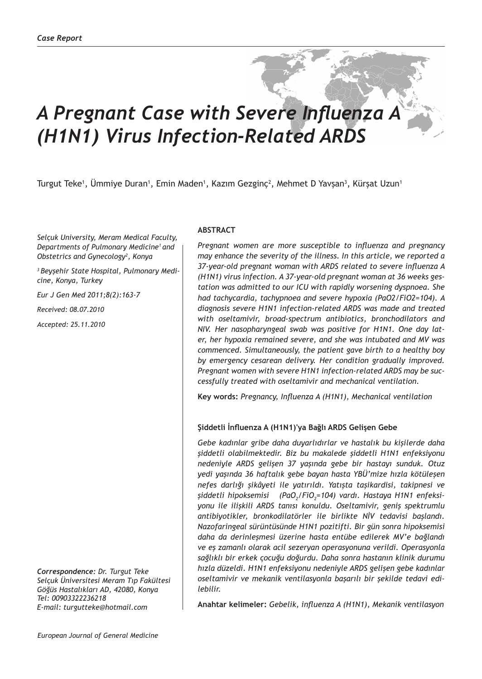# *A Pregnant Case with Severe Influenza A (H1N1) Virus Infection-Related ARDS*

Turgut Teke<sup>1</sup>, Ummiye Duran<sup>1</sup>, Emin Maden<sup>1</sup>, Kazım Gezginç<sup>2</sup>, Mehmet D Yavşan<sup>3</sup>, Kürşat Uzun<sup>1</sup>

*Selçuk University, Meram Medical Faculty, Departments of Pulmonary Medicine<sup>1</sup>and Obstetrics and Gynecology2 , Konya*

*3 Beyşehir State Hospital, Pulmonary Medicine, Konya, Turkey*

*Eur J Gen Med 2011;8(2):163-7*

*Received: 08.07.2010*

*Accepted: 25.11.2010*

*Correspondence: Dr. Turgut Teke Selçuk Üniversitesi Meram Tıp Fakültesi Göğüs Hastalıkları AD, 42080, Konya Tel: 00903322236218 E-mail: turgutteke@hotmail.com*

### **ABSTRACT**

*Pregnant women are more susceptible to influenza and pregnancy may enhance the severity of the illness. In this article, we reported a 37-year-old pregnant woman with ARDS related to severe influenza A (H1N1) virus infection. A 37-year-old pregnant woman at 36 weeks gestation was admitted to our ICU with rapidly worsening dyspnoea. She had tachycardia, tachypnoea and severe hypoxia (PaO2/FiO2=104). A diagnosis severe H1N1 infection-related ARDS was made and treated with oseltamivir, broad-spectrum antibiotics, bronchodilators and NIV. Her nasopharyngeal swab was positive for H1N1. One day later, her hypoxia remained severe, and she was intubated and MV was commenced. Simultaneously, the patient gave birth to a healthy boy by emergency cesarean delivery. Her condition gradually improved. Pregnant women with severe H1N1 infection-related ARDS may be successfully treated with oseltamivir and mechanical ventilation.*

**Key words:** *Pregnancy, Influenza A (H1N1), Mechanical ventilation*

## **Şiddetli İnfluenza A (H1N1)'ya Bağlı ARDS Gelişen Gebe**

*Gebe kadınlar gribe daha duyarlıdırlar ve hastalık bu kişilerde daha şiddetli olabilmektedir. Biz bu makalede şiddetli H1N1 enfeksiyonu nedeniyle ARDS gelişen 37 yaşında gebe bir hastayı sunduk. Otuz yedi yaşında 36 haftalık gebe bayan hasta YBÜ'mize hızla kötüleşen nefes darlığı şikâyeti ile yatırıldı. Yatışta taşikardisi, takipnesi ve şiddetli hipoksemisi (PaO2 /FiO2 =104) vardı. Hastaya H1N1 enfeksiyonu ile ilişkili ARDS tanısı konuldu. Oseltamivir, geniş spektrumlu antibiyotikler, bronkodilatörler ile birlikte NİV tedavisi başlandı. Nazofaringeal sürüntüsünde H1N1 pozitifti. Bir gün sonra hipoksemisi daha da derinleşmesi üzerine hasta entübe edilerek MV'e bağlandı ve eş zamanlı olarak acil sezeryan operasyonuna verildi. Operasyonla sağlıklı bir erkek çocuğu doğurdu. Daha sonra hastanın klinik durumu hızla düzeldi. H1N1 enfeksiyonu nedeniyle ARDS gelişen gebe kadınlar oseltamivir ve mekanik ventilasyonla başarılı bir şekilde tedavi edilebilir.*

**Anahtar kelimeler:** *Gebelik, influenza A (H1N1), Mekanik ventilasyon*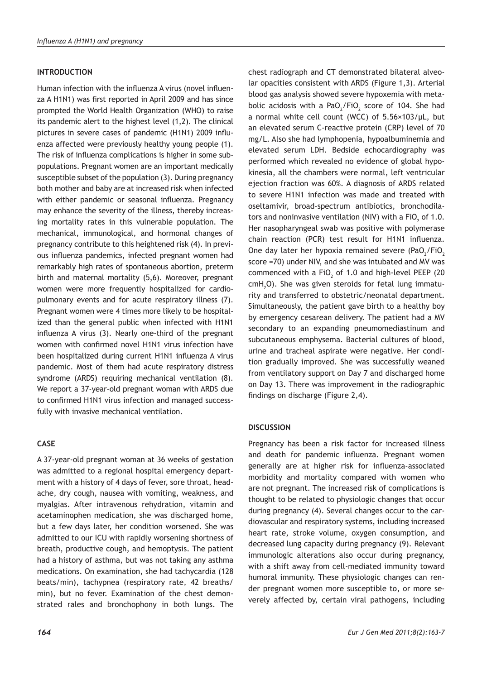## **INTRODUCTION**

Human infection with the influenza A virus (novel influenza A H1N1) was first reported in April 2009 and has since prompted the World Health Organization (WHO) to raise its pandemic alert to the highest level (1,2). The clinical pictures in severe cases of pandemic (H1N1) 2009 influenza affected were previously healthy young people (1). The risk of influenza complications is higher in some subpopulations. Pregnant women are an important medically susceptible subset of the population (3). During pregnancy both mother and baby are at increased risk when infected with either pandemic or seasonal influenza. Pregnancy may enhance the severity of the illness, thereby increasing mortality rates in this vulnerable population. The mechanical, immunological, and hormonal changes of pregnancy contribute to this heightened risk (4). In previous influenza pandemics, infected pregnant women had remarkably high rates of spontaneous abortion, preterm birth and maternal mortality (5,6). Moreover, pregnant women were more frequently hospitalized for cardiopulmonary events and for acute respiratory illness (7). Pregnant women were 4 times more likely to be hospitalized than the general public when infected with H1N1 influenza A virus (3). Nearly one-third of the pregnant women with confirmed novel H1N1 virus infection have been hospitalized during current H1N1 influenza A virus pandemic. Most of them had acute respiratory distress syndrome (ARDS) requiring mechanical ventilation (8). We report a 37-year-old pregnant woman with ARDS due to confirmed H1N1 virus infection and managed successfully with invasive mechanical ventilation.

## **CASE**

A 37-year-old pregnant woman at 36 weeks of gestation was admitted to a regional hospital emergency department with a history of 4 days of fever, sore throat, headache, dry cough, nausea with vomiting, weakness, and myalgias. After intravenous rehydration, vitamin and acetaminophen medication, she was discharged home, but a few days later, her condition worsened. She was admitted to our ICU with rapidly worsening shortness of breath, productive cough, and hemoptysis. The patient had a history of asthma, but was not taking any asthma medications. On examination, she had tachycardia (128 beats/min), tachypnea (respiratory rate, 42 breaths/ min), but no fever. Examination of the chest demonstrated rales and bronchophony in both lungs. The

chest radiograph and CT demonstrated bilateral alveolar opacities consistent with ARDS (Figure 1,3). Arterial blood gas analysis showed severe hypoxemia with metabolic acidosis with a Pa $O_2$ /Fi $O_2$  score of 104. She had a normal white cell count (WCC) of 5.56×103/µL, but an elevated serum C-reactive protein (CRP) level of 70 mg/L. Also she had lymphopenia, hypoalbuminemia and elevated serum LDH. Bedside echocardiography was performed which revealed no evidence of global hypokinesia, all the chambers were normal, left ventricular ejection fraction was 60%. A diagnosis of ARDS related to severe H1N1 infection was made and treated with oseltamivir, broad-spectrum antibiotics, bronchodilators and noninvasive ventilation (NIV) with a FiO<sub>2</sub> of 1.0. Her nasopharyngeal swab was positive with polymerase chain reaction (PCR) test result for H1N1 influenza. One day later her hypoxia remained severe (PaO<sub>2</sub>/FiO<sub>2</sub> score =70) under NIV, and she was intubated and MV was commenced with a FiO<sub>2</sub> of 1.0 and high-level PEEP (20  $cmH<sub>2</sub>$ O). She was given steroids for fetal lung immaturity and transferred to obstetric/neonatal department. Simultaneously, the patient gave birth to a healthy boy by emergency cesarean delivery. The patient had a MV secondary to an expanding pneumomediastinum and subcutaneous emphysema. Bacterial cultures of blood, urine and tracheal aspirate were negative. Her condition gradually improved. She was successfully weaned from ventilatory support on Day 7 and discharged home on Day 13. There was improvement in the radiographic findings on discharge (Figure 2,4).

#### **DISCUSSION**

Pregnancy has been a risk factor for increased illness and death for pandemic influenza. Pregnant women generally are at higher risk for influenza-associated morbidity and mortality compared with women who are not pregnant. The increased risk of complications is thought to be related to physiologic changes that occur during pregnancy (4). Several changes occur to the cardiovascular and respiratory systems, including increased heart rate, stroke volume, oxygen consumption, and decreased lung capacity during pregnancy (9). Relevant immunologic alterations also occur during pregnancy, with a shift away from cell-mediated immunity toward humoral immunity. These physiologic changes can render pregnant women more susceptible to, or more severely affected by, certain viral pathogens, including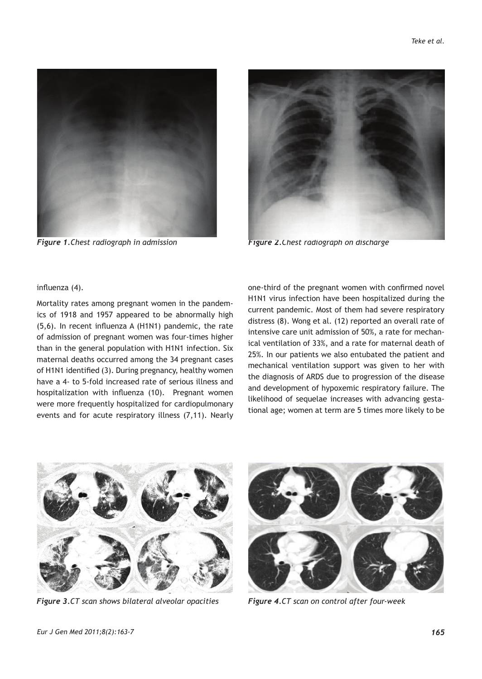



*Figure 1.Chest radiograph in admission Figure 2.Chest radiograph on discharge*

influenza (4).

Mortality rates among pregnant women in the pandemics of 1918 and 1957 appeared to be abnormally high (5,6). In recent influenza A (H1N1) pandemic, the rate of admission of pregnant women was four-times higher than in the general population with H1N1 infection. Six maternal deaths occurred among the 34 pregnant cases of H1N1 identified (3). During pregnancy, healthy women have a 4- to 5-fold increased rate of serious illness and hospitalization with influenza (10). Pregnant women were more frequently hospitalized for cardiopulmonary events and for acute respiratory illness (7,11). Nearly

one-third of the pregnant women with confirmed novel H1N1 virus infection have been hospitalized during the current pandemic. Most of them had severe respiratory distress (8). Wong et al. (12) reported an overall rate of intensive care unit admission of 50%, a rate for mechanical ventilation of 33%, and a rate for maternal death of 25%. In our patients we also entubated the patient and mechanical ventilation support was given to her with the diagnosis of ARDS due to progression of the disease and development of hypoxemic respiratory failure. The likelihood of sequelae increases with advancing gestational age; women at term are 5 times more likely to be



*Figure 3.CT scan shows bilateral alveolar opacities Figure 4.CT scan on control after four-week*

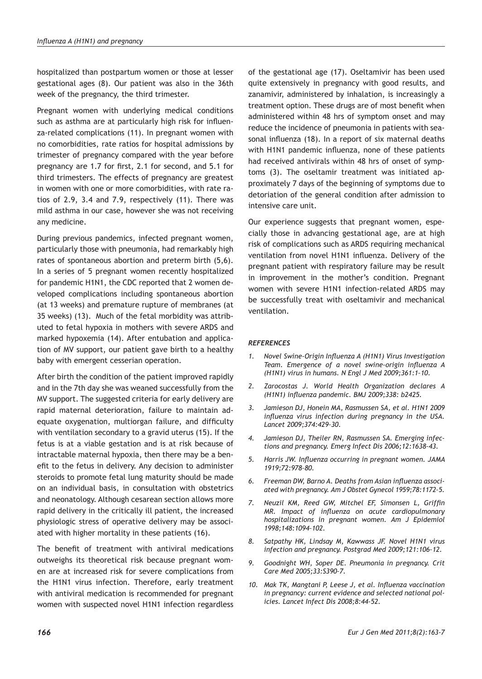hospitalized than postpartum women or those at lesser gestational ages (8). Our patient was also in the 36th week of the pregnancy, the third trimester.

Pregnant women with underlying medical conditions such as asthma are at particularly high risk for influenza-related complications (11). In pregnant women with no comorbidities, rate ratios for hospital admissions by trimester of pregnancy compared with the year before pregnancy are 1.7 for first, 2.1 for second, and 5.1 for third trimesters. The effects of pregnancy are greatest in women with one or more comorbidities, with rate ratios of 2.9, 3.4 and 7.9, respectively (11). There was mild asthma in our case, however she was not receiving any medicine.

During previous pandemics, infected pregnant women, particularly those with pneumonia, had remarkably high rates of spontaneous abortion and preterm birth (5,6). In a series of 5 pregnant women recently hospitalized for pandemic H1N1, the CDC reported that 2 women developed complications including spontaneous abortion (at 13 weeks) and premature rupture of membranes (at 35 weeks) (13). Much of the fetal morbidity was attributed to fetal hypoxia in mothers with severe ARDS and marked hypoxemia (14). After entubation and application of MV support, our patient gave birth to a healthy baby with emergent cesserian operation.

After birth the condition of the patient improved rapidly and in the 7th day she was weaned successfully from the MV support. The suggested criteria for early delivery are rapid maternal deterioration, failure to maintain adequate oxygenation, multiorgan failure, and difficulty with ventilation secondary to a gravid uterus (15). If the fetus is at a viable gestation and is at risk because of intractable maternal hypoxia, then there may be a benefit to the fetus in delivery. Any decision to administer steroids to promote fetal lung maturity should be made on an individual basis, in consultation with obstetrics and neonatology. Although cesarean section allows more rapid delivery in the critically ill patient, the increased physiologic stress of operative delivery may be associated with higher mortality in these patients (16).

The benefit of treatment with antiviral medications outweighs its theoretical risk because pregnant women are at increased risk for severe complications from the H1N1 virus infection. Therefore, early treatment with antiviral medication is recommended for pregnant women with suspected novel H1N1 infection regardless

of the gestational age (17). Oseltamivir has been used quite extensively in pregnancy with good results, and zanamivir, administered by inhalation, is increasingly a treatment option. These drugs are of most benefit when administered within 48 hrs of symptom onset and may reduce the incidence of pneumonia in patients with seasonal influenza (18). In a report of six maternal deaths with H1N1 pandemic influenza, none of these patients had received antivirals within 48 hrs of onset of symptoms (3). The oseltamir treatment was initiated approximately 7 days of the beginning of symptoms due to detoriation of the general condition after admission to intensive care unit.

Our experience suggests that pregnant women, especially those in advancing gestational age, are at high risk of complications such as ARDS requiring mechanical ventilation from novel H1N1 influenza. Delivery of the pregnant patient with respiratory failure may be result in improvement in the mother's condition. Pregnant women with severe H1N1 infection-related ARDS may be successfully treat with oseltamivir and mechanical ventilation.

#### *REFERENCES*

- *1. Novel Swine-Origin Influenza A (H1N1) Virus Investigation Team. Emergence of a novel swine-origin influenza A (H1N1) virus in humans. N Engl J Med 2009;361:1–10.*
- *2. Zarocostas J. World Health Organization declares A (H1N1) influenza pandemic. BMJ 2009;338: b2425.*
- *3. Jamieson DJ, Honein MA, Rasmussen SA, et al. H1N1 2009 influenza virus infection during pregnancy in the USA. Lancet 2009;374:429–30.*
- *4. Jamieson DJ, Theiler RN, Rasmussen SA. Emerging infections and pregnancy. Emerg Infect Dis 2006;12:1638–43.*
- *5. Harris JW. Influenza occurring in pregnant women. JAMA 1919;72:978–80.*
- *6. Freeman DW, Barno A. Deaths from Asian influenza associated with pregnancy. Am J Obstet Gynecol 1959;78:1172–5.*
- *7. Neuzil KM, Reed GW, Mitchel EF, Simonsen L, Griffin MR. Impact of influenza on acute cardiopulmonary hospitalizations in pregnant women. Am J Epidemiol 1998;148:1094–102.*
- *8. Satpathy HK, Lindsay M, Kawwass JF. Novel H1N1 virus infection and pregnancy. Postgrad Med 2009;121:106-12.*
- *9. Goodnight WH, Soper DE. Pneumonia in pregnancy. Crit Care Med 2005;33:S390–7.*
- *10. Mak TK, Mangtani P, Leese J, et al. Influenza vaccination in pregnancy: current evidence and selected national policies. Lancet Infect Dis 2008;8:44-52.*